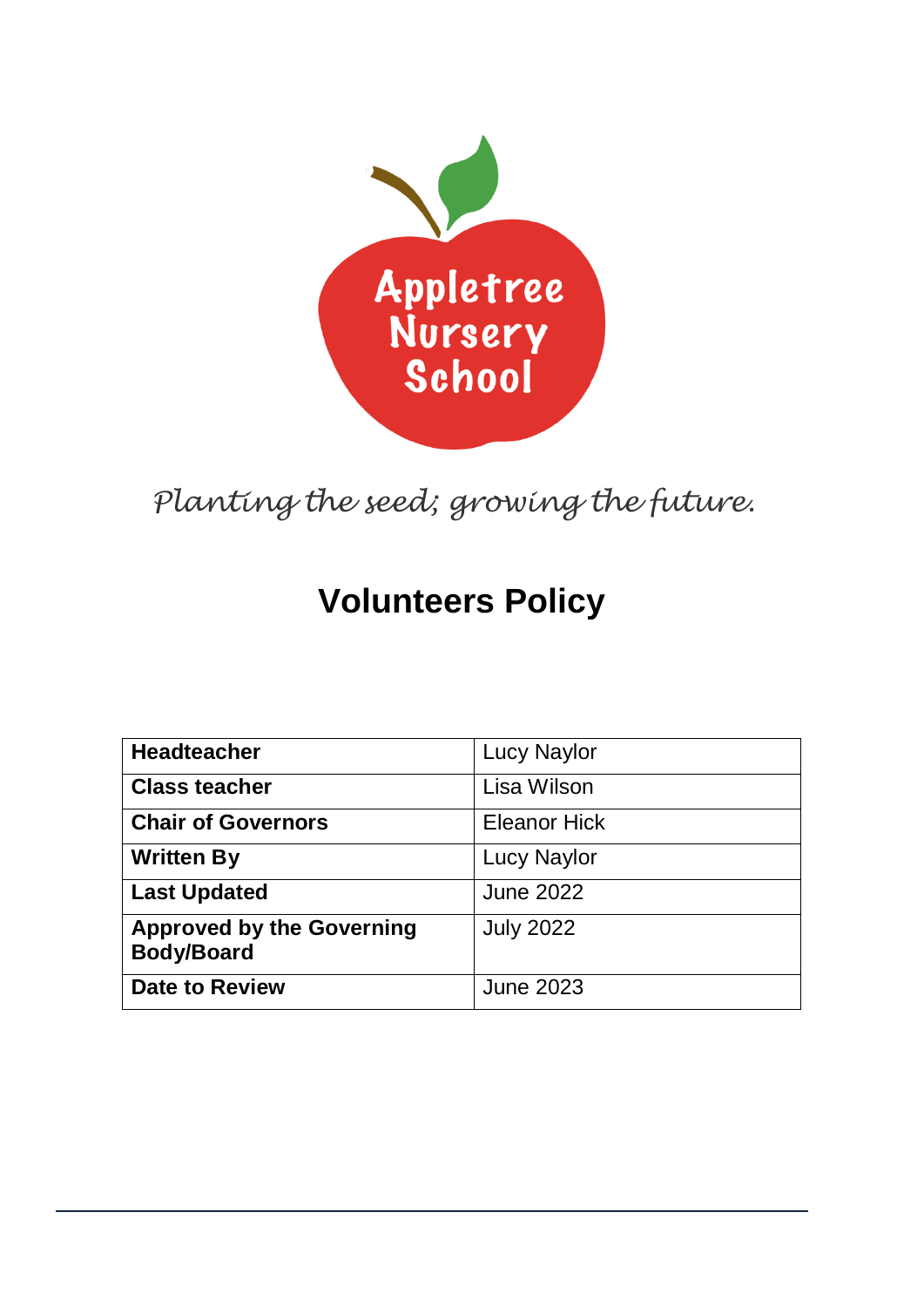

*Planting the seed; growing the future.*

# **Volunteers Policy**

| <b>Headteacher</b>                                    | <b>Lucy Naylor</b>  |
|-------------------------------------------------------|---------------------|
| <b>Class teacher</b>                                  | Lisa Wilson         |
| <b>Chair of Governors</b>                             | <b>Eleanor Hick</b> |
| <b>Written By</b>                                     | <b>Lucy Naylor</b>  |
| <b>Last Updated</b>                                   | <b>June 2022</b>    |
| <b>Approved by the Governing</b><br><b>Body/Board</b> | <b>July 2022</b>    |
| <b>Date to Review</b>                                 | <b>June 2023</b>    |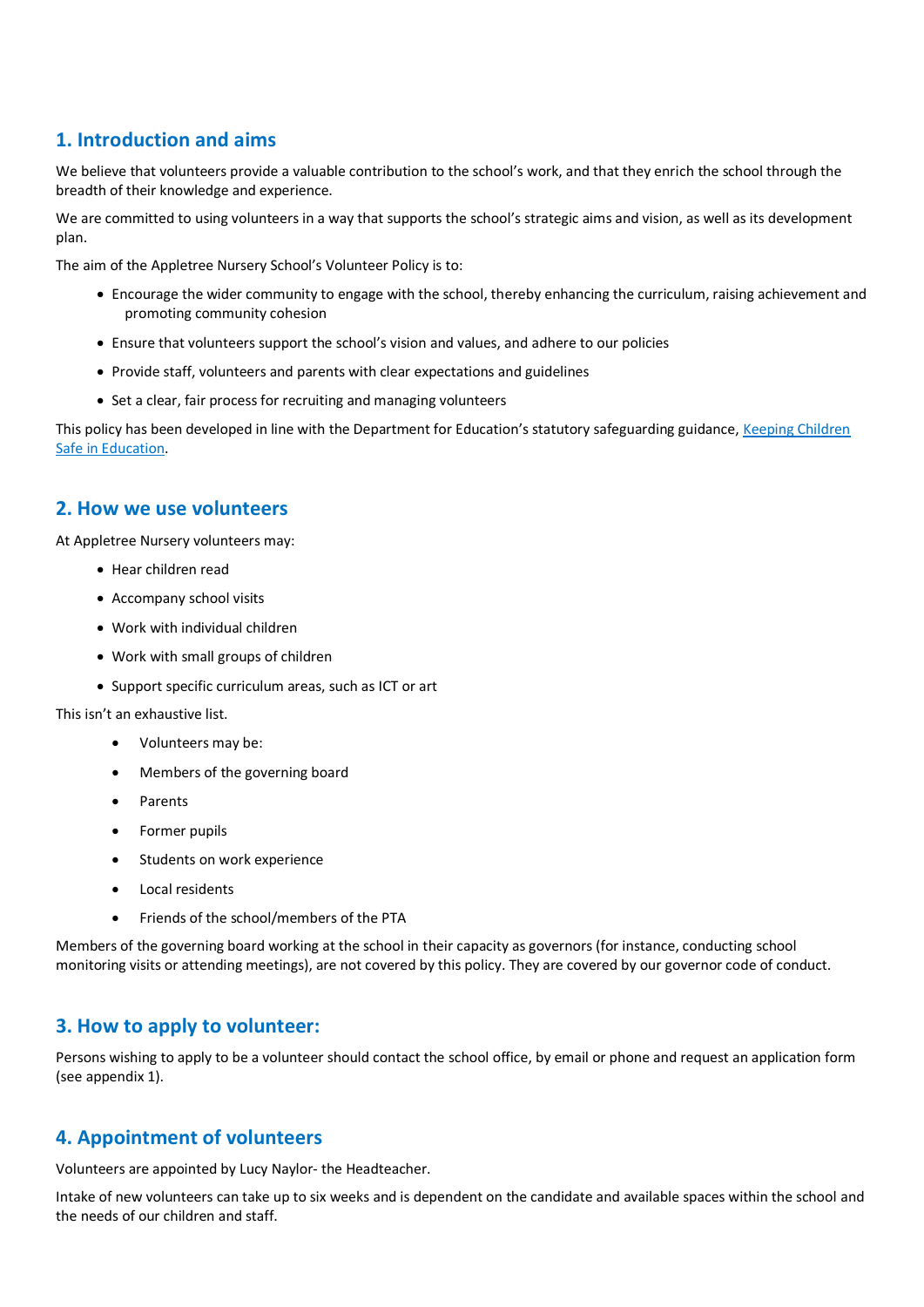# **1. Introduction and aims**

We believe that volunteers provide a valuable contribution to the school's work, and that they enrich the school through the breadth of their knowledge and experience.

We are committed to using volunteers in a way that supports the school's strategic aims and vision, as well as its development plan.

The aim of the Appletree Nursery School's Volunteer Policy is to:

- Encourage the wider community to engage with the school, thereby enhancing the curriculum, raising achievement and promoting community cohesion
- Ensure that volunteers support the school's vision and values, and adhere to our policies
- Provide staff, volunteers and parents with clear expectations and guidelines
- Set a clear, fair process for recruiting and managing volunteers

This policy has been developed in line with the Department for Education's statutory safeguarding guidance, Keeping Children [Safe in Education.](https://www.gov.uk/government/publications/keeping-children-safe-in-education--2)

## **2. How we use volunteers**

At Appletree Nursery volunteers may:

- Hear children read
- Accompany school visits
- Work with individual children
- Work with small groups of children
- Support specific curriculum areas, such as ICT or art

This isn't an exhaustive list.

- Volunteers may be:
- Members of the governing board
- Parents
- Former pupils
- Students on work experience
- Local residents
- Friends of the school/members of the PTA

Members of the governing board working at the school in their capacity as governors (for instance, conducting school monitoring visits or attending meetings), are not covered by this policy. They are covered by our governor code of conduct.

## **3. How to apply to volunteer:**

Persons wishing to apply to be a volunteer should contact the school office, by email or phone and request an application form (see appendix 1).

## **4. Appointment of volunteers**

Volunteers are appointed by Lucy Naylor- the Headteacher.

Intake of new volunteers can take up to six weeks and is dependent on the candidate and available spaces within the school and the needs of our children and staff.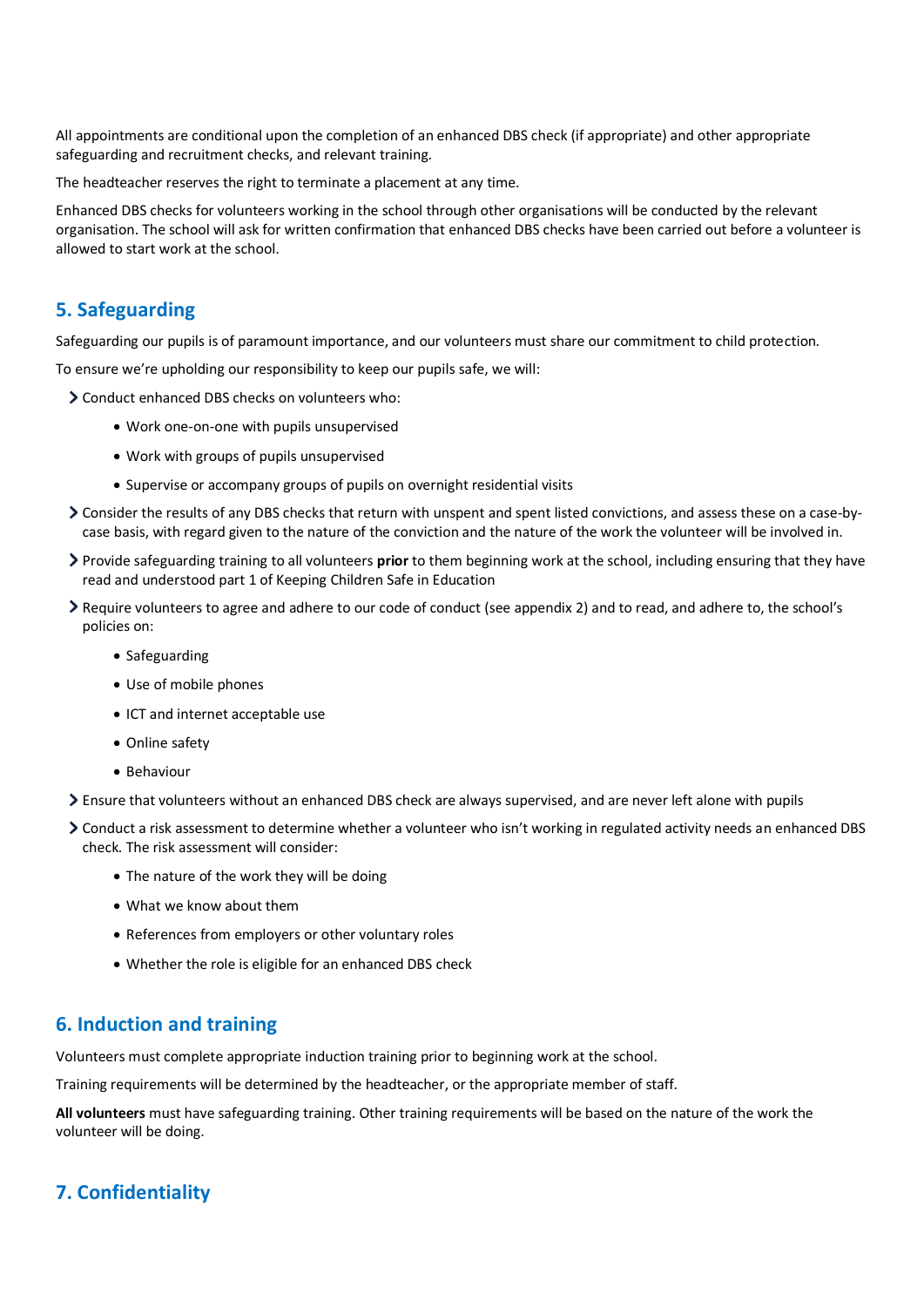All appointments are conditional upon the completion of an enhanced DBS check (if appropriate) and other appropriate safeguarding and recruitment checks, and relevant training.

The headteacher reserves the right to terminate a placement at any time.

Enhanced DBS checks for volunteers working in the school through other organisations will be conducted by the relevant organisation. The school will ask for written confirmation that enhanced DBS checks have been carried out before a volunteer is allowed to start work at the school.

## **5. Safeguarding**

Safeguarding our pupils is of paramount importance, and our volunteers must share our commitment to child protection.

To ensure we're upholding our responsibility to keep our pupils safe, we will:

- Conduct enhanced DBS checks on volunteers who:
	- Work one-on-one with pupils unsupervised
	- Work with groups of pupils unsupervised
	- Supervise or accompany groups of pupils on overnight residential visits
- Consider the results of any DBS checks that return with unspent and spent listed convictions, and assess these on a case-bycase basis, with regard given to the nature of the conviction and the nature of the work the volunteer will be involved in.
- Provide safeguarding training to all volunteers **prior** to them beginning work at the school, including ensuring that they have read and understood part 1 of Keeping Children Safe in Education
- Require volunteers to agree and adhere to our code of conduct (see appendix 2) and to read, and adhere to, the school's policies on:
	- Safeguarding
	- Use of mobile phones
	- ICT and internet acceptable use
	- Online safety
	- Behaviour
- Ensure that volunteers without an enhanced DBS check are always supervised, and are never left alone with pupils
- Conduct a risk assessment to determine whether a volunteer who isn't working in regulated activity needs an enhanced DBS check. The risk assessment will consider:
	- The nature of the work they will be doing
	- What we know about them
	- References from employers or other voluntary roles
	- Whether the role is eligible for an enhanced DBS check

#### **6. Induction and training**

Volunteers must complete appropriate induction training prior to beginning work at the school.

Training requirements will be determined by the headteacher, or the appropriate member of staff.

**All volunteers** must have safeguarding training. Other training requirements will be based on the nature of the work the volunteer will be doing.

## **7. Confidentiality**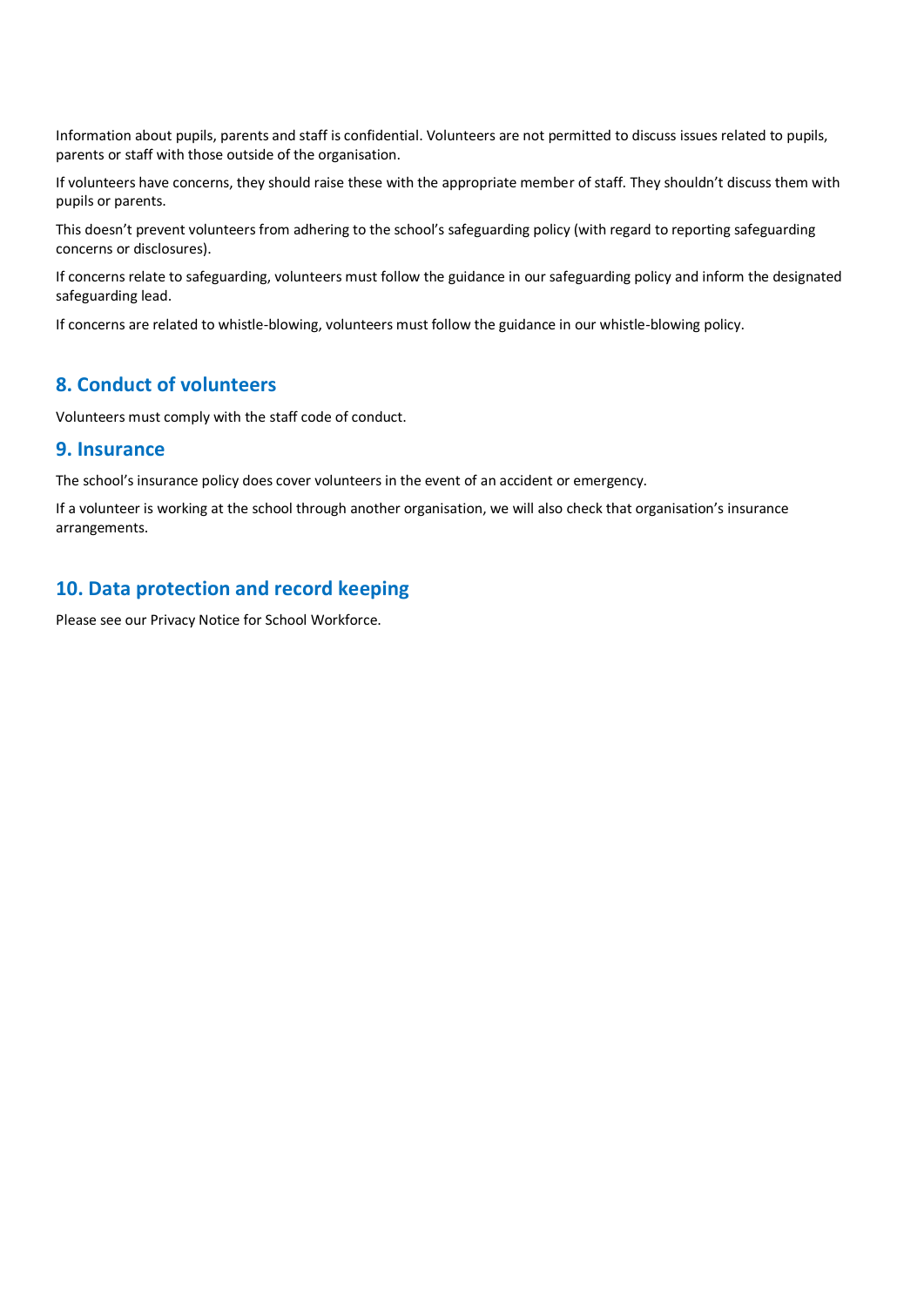Information about pupils, parents and staff is confidential. Volunteers are not permitted to discuss issues related to pupils, parents or staff with those outside of the organisation.

If volunteers have concerns, they should raise these with the appropriate member of staff. They shouldn't discuss them with pupils or parents.

This doesn't prevent volunteers from adhering to the school's safeguarding policy (with regard to reporting safeguarding concerns or disclosures).

If concerns relate to safeguarding, volunteers must follow the guidance in our safeguarding policy and inform the designated safeguarding lead.

If concerns are related to whistle-blowing, volunteers must follow the guidance in our whistle-blowing policy.

#### **8. Conduct of volunteers**

Volunteers must comply with the staff code of conduct.

#### **9. Insurance**

The school's insurance policy does cover volunteers in the event of an accident or emergency.

If a volunteer is working at the school through another organisation, we will also check that organisation's insurance arrangements.

## **10. Data protection and record keeping**

Please see our Privacy Notice for School Workforce.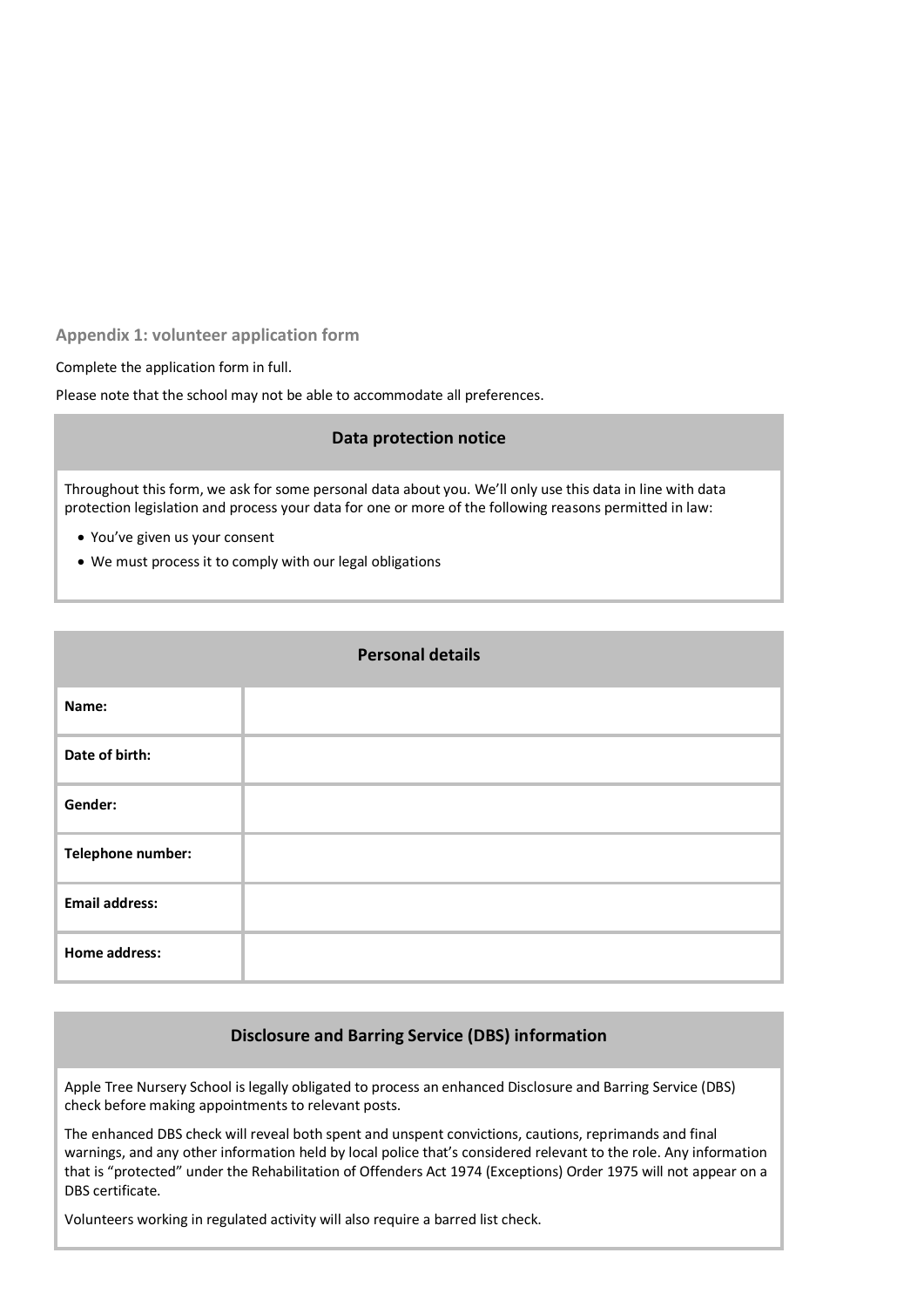**Appendix 1: volunteer application form**

Complete the application form in full.

Please note that the school may not be able to accommodate all preferences.

#### **Data protection notice**

Throughout this form, we ask for some personal data about you. We'll only use this data in line with data protection legislation and process your data for one or more of the following reasons permitted in law:

- You've given us your consent
- We must process it to comply with our legal obligations

| <b>Personal details</b> |  |  |
|-------------------------|--|--|
| Name:                   |  |  |
| Date of birth:          |  |  |
| Gender:                 |  |  |
| Telephone number:       |  |  |
| <b>Email address:</b>   |  |  |
| Home address:           |  |  |

#### **Disclosure and Barring Service (DBS) information**

Apple Tree Nursery School is legally obligated to process an enhanced Disclosure and Barring Service (DBS) check before making appointments to relevant posts.

The enhanced DBS check will reveal both spent and unspent convictions, cautions, reprimands and final warnings, and any other information held by local police that's considered relevant to the role. Any information that is "protected" under the Rehabilitation of Offenders Act 1974 (Exceptions) Order 1975 will not appear on a DBS certificate.

Volunteers working in regulated activity will also require a barred list check.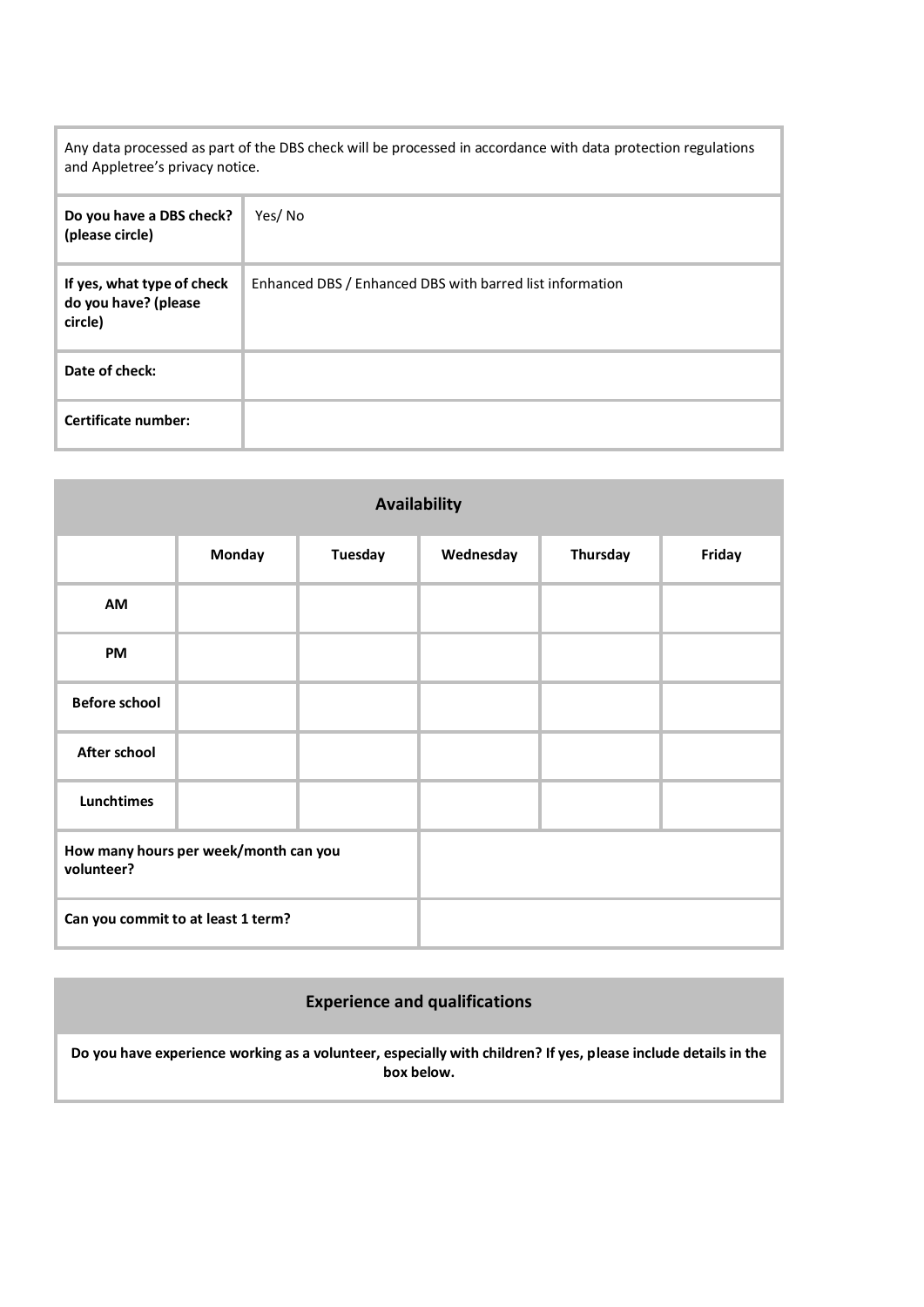Any data processed as part of the DBS check will be processed in accordance with data protection regulations and Appletree's privacy notice.

| Do you have a DBS check?<br>(please circle)                   | Yes/No                                                   |
|---------------------------------------------------------------|----------------------------------------------------------|
| If yes, what type of check<br>do you have? (please<br>circle) | Enhanced DBS / Enhanced DBS with barred list information |
| Date of check:                                                |                                                          |
| Certificate number:                                           |                                                          |

| <b>Availability</b>                                 |        |                |           |          |        |
|-----------------------------------------------------|--------|----------------|-----------|----------|--------|
|                                                     | Monday | <b>Tuesday</b> | Wednesday | Thursday | Friday |
| AM                                                  |        |                |           |          |        |
| PM                                                  |        |                |           |          |        |
| <b>Before school</b>                                |        |                |           |          |        |
| After school                                        |        |                |           |          |        |
| Lunchtimes                                          |        |                |           |          |        |
| How many hours per week/month can you<br>volunteer? |        |                |           |          |        |
| Can you commit to at least 1 term?                  |        |                |           |          |        |

# **Experience and qualifications**

**Do you have experience working as a volunteer, especially with children? If yes, please include details in the box below.**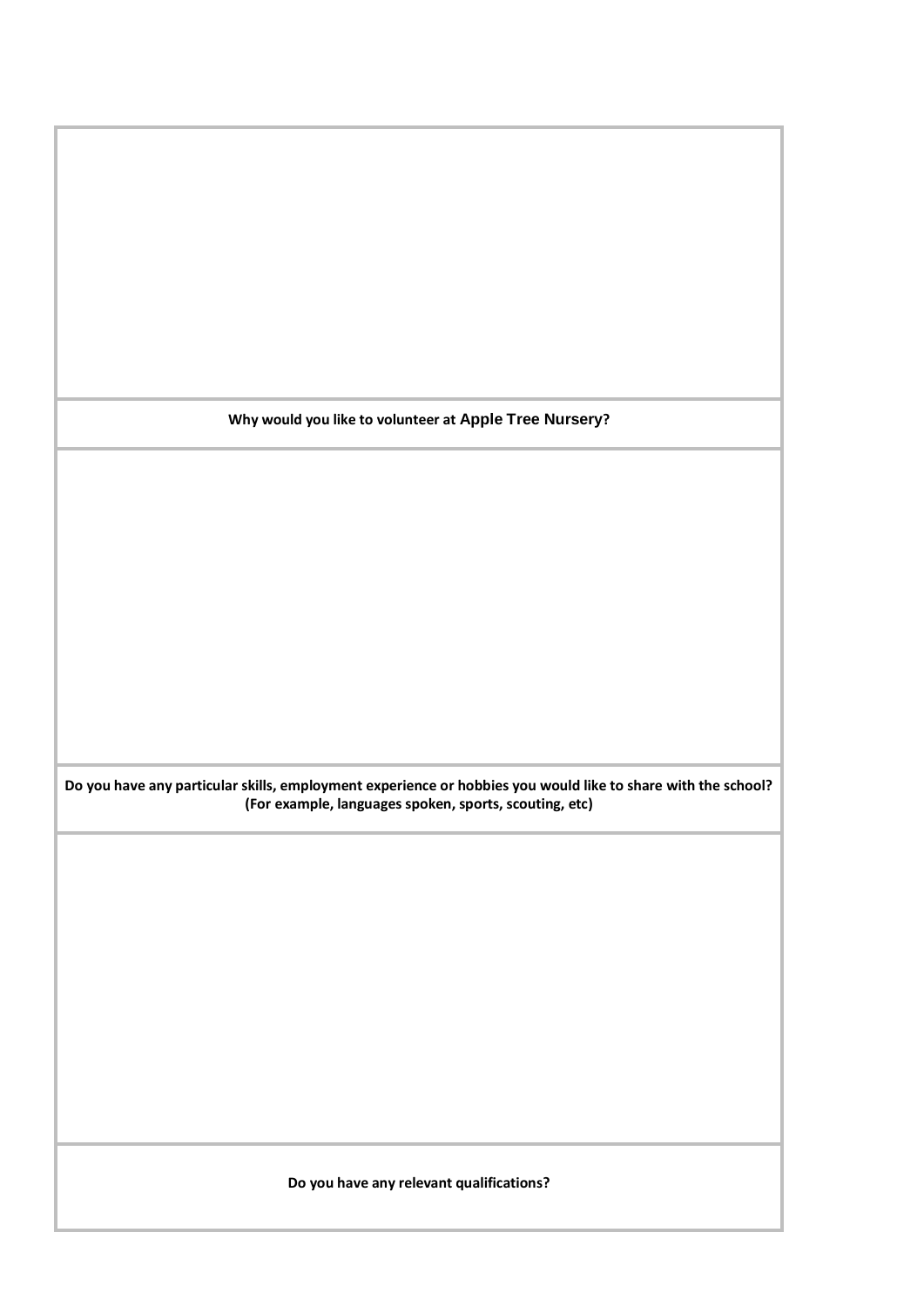**Why would you like to volunteer at Apple Tree Nursery?**

**Do you have any particular skills, employment experience or hobbies you would like to share with the school? (For example, languages spoken, sports, scouting, etc)**

**Do you have any relevant qualifications?**